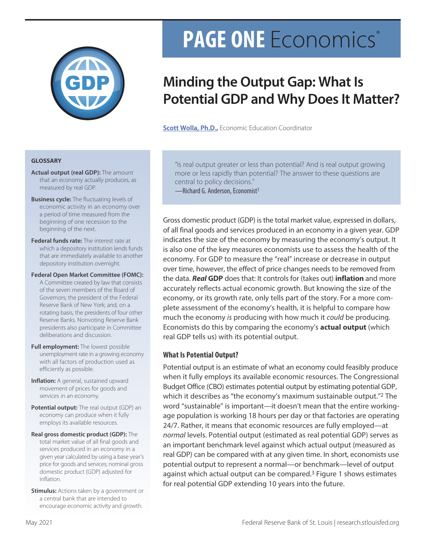

# **PAGE ONE** Economics®

## **Minding the Output Gap: What Is Potential GDP and Why Does It Matter?**

**[Scott Wolla, Ph.D.](https://research.stlouisfed.org/staff/wolla),** Economic Education Coordinator

#### **GLOSSARY**

- **Actual output (real GDP):** The amount that an economy actually produces, as measured by real GDP.
- **Business cycle:** The fluctuating levels of economic activity in an economy over a period of time measured from the beginning of one recession to the beginning of the next.
- **Federal funds rate:** The interest rate at which a depository institution lends funds that are immediately available to another depository institution overnight.
- **Federal Open Market Committee (FOMC):**  A Committee created by law that consists of the seven members of the Board of Governors; the president of the Federal Reserve Bank of New York; and, on a rotating basis, the presidents of four other Reserve Banks. Nonvoting Reserve Bank presidents also participate in Committee deliberations and discussion.
- **Full employment:** The lowest possible unemployment rate in a growing economy with all factors of production used as efficiently as possible.
- **Inflation:** A general, sustained upward movement of prices for goods and services in an economy.
- **Potential output:** The real output (GDP) an economy can produce when it fully employs its available resources.
- **Real gross domestic product (GDP):** The total market value of all final goods and services produced in an economy in a given year calculated by using a base year's price for goods and services; nominal gross domestic product (GDP) adjusted for inflation.
- **Stimulus:** Actions taken by a government or a central bank that are intended to encourage economic activity and growth.

"Is real output greater or less than potential? And is real output growing more or less rapidly than potential? The answer to these questions are central to policy decisions." —Richard G. Anderson, Economist1

Gross domestic product (GDP) is the total market value, expressed in dollars, of all final goods and services produced in an economy in a given year. GDP indicates the size of the economy by measuring the economy's output. It is also one of the key measures economists use to assess the health of the economy. For GDP to measure the "real" increase or decrease in output over time, however, the effect of price changes needs to be removed from the data. *Real* **GDP** does that: It controls for (takes out) **inflation** and more accurately reflects actual economic growth. But knowing the size of the economy, or its growth rate, only tells part of the story. For a more complete assessment of the economy's health, it is helpful to compare how much the economy *is* producing with how much it *could* be producing. Economists do this by comparing the economy's **actual output** (which real GDP tells us) with its potential output.

### **What Is Potential Output?**

Potential output is an estimate of what an economy could feasibly produce when it fully employs its available economic resources. The Congressional Budget Office (CBO) estimates potential output by estimating potential GDP, which it describes as "the economy's maximum sustainable output."2 The word "sustainable" is important—it doesn't mean that the entire workingage population is working 18 hours per day or that factories are operating 24/7. Rather, it means that economic resources are fully employed—at *normal* levels. Potential output (estimated as real potential GDP) serves as an important benchmark level against which actual output (measured as real GDP) can be compared with at any given time. In short, economists use potential output to represent a normal—or benchmark—level of output against which actual output can be compared.3 Figure 1 shows estimates for real potential GDP extending 10 years into the future.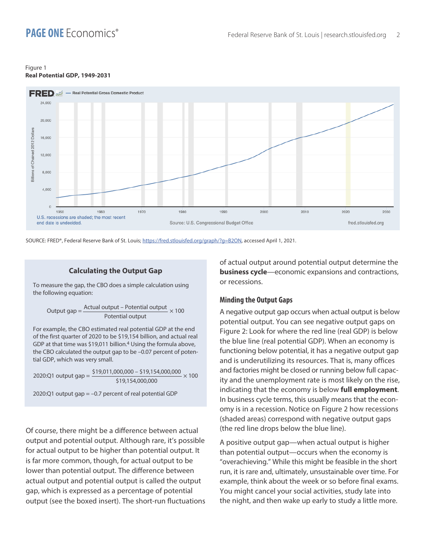#### Figure 1 **Real Potential GDP, 1949-2031**



SOURCE: FRED®, Federal Reserve Bank of St. Louis; <https://fred.stlouisfed.org/graph/?g=B2ON>, accessed April 1, 2021.

#### **Calculating the Output Gap**

To measure the gap, the CBO does a simple calculation using the following equation:

Output gap = 
$$
\frac{\text{Actual output} - \text{Potential output}}{\text{Potential output}} \times 100
$$

For example, the CBO estimated real potential GDP at the end of the first quarter of 2020 to be \$19,154 billion, and actual real GDP at that time was \$19,011 billion.4 Using the formula above, the CBO calculated the output gap to be –0.07 percent of potential GDP, which was very small.

2020:Q1 output gap =  $\frac{$19,011,000,000 - $19,154,000,000}{9} \times 100$ \$19,154,000,000

2020:Q1 output gap = –0.7 percent of real potential GDP

Of course, there might be a difference between actual output and potential output. Although rare, it's possible for actual output to be higher than potential output. It is far more common, though, for actual output to be lower than potential output. The difference between actual output and potential output is called the output gap, which is expressed as a percentage of potential output (see the boxed insert). The short-run fluctuations of actual output around potential output determine the **business cycle**—economic expansions and contractions, or recessions.

#### **Minding the Output Gaps**

A negative output gap occurs when actual output is below potential output. You can see negative output gaps on Figure 2: Look for where the red line (real GDP) is below the blue line (real potential GDP). When an economy is functioning below potential, it has a negative output gap and is underutilizing its resources. That is, many offices and factories might be closed or running below full capacity and the unemployment rate is most likely on the rise, indicating that the economy is below **full employment**. In business cycle terms, this usually means that the economy is in a recession. Notice on Figure 2 how recessions (shaded areas) correspond with negative output gaps (the red line drops below the blue line).

A positive output gap—when actual output is higher than potential output—occurs when the economy is "overachieving." While this might be feasible in the short run, it is rare and, ultimately, unsustainable over time. For example, think about the week or so before final exams. You might cancel your social activities, study late into the night, and then wake up early to study a little more.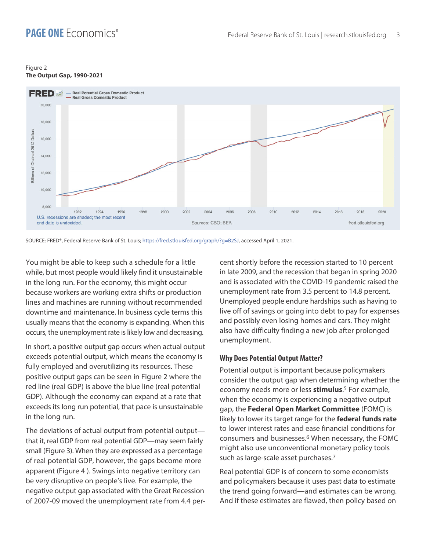#### Figure 2 **The Output Gap, 1990-2021**



SOURCE: FRED®, Federal Reserve Bank of St. Louis; <https://fred.stlouisfed.org/graph/?g=B2SJ>, accessed April 1, 2021.

You might be able to keep such a schedule for a little while, but most people would likely find it unsustainable in the long run. For the economy, this might occur because workers are working extra shifts or production lines and machines are running without recommended downtime and maintenance. In business cycle terms this usually means that the economy is expanding. When this occurs, the unemployment rate is likely low and decreasing.

In short, a positive output gap occurs when actual output exceeds potential output, which means the economy is fully employed and overutilizing its resources. These positive output gaps can be seen in Figure 2 where the red line (real GDP) is above the blue line (real potential GDP). Although the economy can expand at a rate that exceeds its long run potential, that pace is unsustainable in the long run.

The deviations of actual output from potential output that it, real GDP from real potential GDP—may seem fairly small (Figure 3). When they are expressed as a percentage of real potential GDP, however, the gaps become more apparent (Figure 4 ). Swings into negative territory can be very disruptive on people's live. For example, the negative output gap associated with the Great Recession of 2007-09 moved the unemployment rate from 4.4 percent shortly before the recession started to 10 percent in late 2009, and the recession that began in spring 2020 and is associated with the COVID-19 pandemic raised the unemployment rate from 3.5 percent to 14.8 percent. Unemployed people endure hardships such as having to live off of savings or going into debt to pay for expenses and possibly even losing homes and cars. They might also have difficulty finding a new job after prolonged unemployment.

### **Why Does Potential Output Matter?**

Potential output is important because policymakers consider the output gap when determining whether the economy needs more or less **stimulus**. 5 For example, when the economy is experiencing a negative output gap, the **Federal Open Market Committee** (FOMC) is likely to lower its target range for the **federal funds rate** to lower interest rates and ease financial conditions for consumers and businesses.6 When necessary, the FOMC might also use unconventional monetary policy tools such as large-scale asset purchases.7

Real potential GDP is of concern to some economists and policymakers because it uses past data to estimate the trend going forward—and estimates can be wrong. And if these estimates are flawed, then policy based on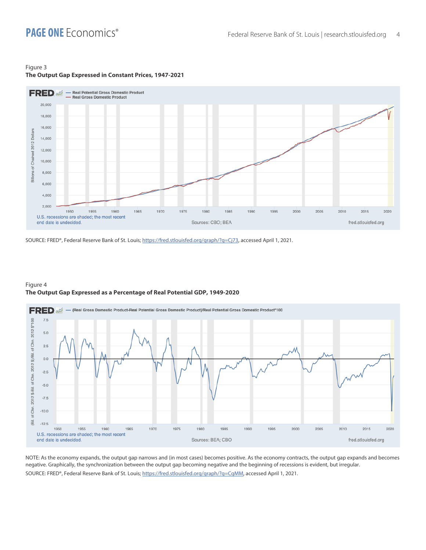ë.  $-12.5$ 

1950

end date is undecided.

1955

U.S. recessions are shaded; the most recent

1960

1965

1970

1975

#### Figure 3 **The Output Gap Expressed in Constant Prices, 1947-2021**



SOURCE: FRED®, Federal Reserve Bank of St. Louis; [https://fred.stlouisfed.org/graph/?g=Cj73,](https://fred.stlouisfed.org/graph/?g=Cj73) accessed April 1, 2021.



#### Figure 4 **The Output Gap Expressed as a Percentage of Real Potential GDP, 1949-2020**

NOTE: As the economy expands, the output gap narrows and (in most cases) becomes positive. As the economy contracts, the output gap expands and becomes negative. Graphically, the synchronization between the output gap becoming negative and the beginning of recessions is evident, but irregular. SOURCE: FRED®, Federal Reserve Bank of St. Louis; [https://fred.stlouisfed.org/graph/?g=CgMM,](https://fred.stlouisfed.org/graph/?g=CgMM) accessed April 1, 2021.

Sources: BEA; CBO

1985

1990

1995

2000

2005

2010

2015

fred.stlouisfed.org

2020

1980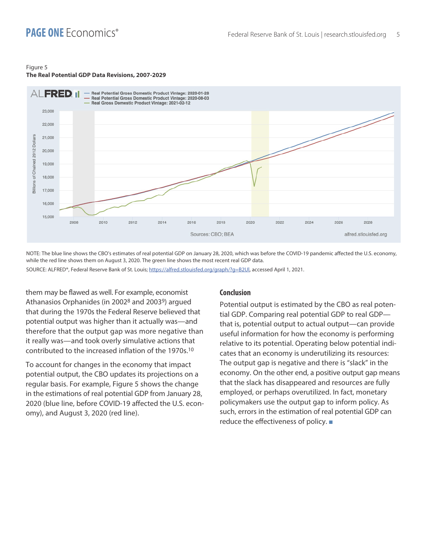#### Figure 5

#### **The Real Potential GDP Data Revisions, 2007-2029**



NOTE: The blue line shows the CBO's estimates of real potential GDP on January 28, 2020, which was before the COVID-19 pandemic affected the U.S. economy, while the red line shows them on August 3, 2020. The green line shows the most recent real GDP data.

SOURCE: ALFRED®, Federal Reserve Bank of St. Louis; [https://alfred.stlouisfed.org/graph/?g=B2Ul,](https://alfred.stlouisfed.org/graph/?g=B2Ul) accessed April 1, 2021.

them may be flawed as well. For example, economist Athanasios Orphanides (in 20028 and 20039) argued that during the 1970s the Federal Reserve believed that potential output was higher than it actually was—and therefore that the output gap was more negative than it really was—and took overly simulative actions that contributed to the increased inflation of the 1970s.10

To account for changes in the economy that impact potential output, the CBO updates its projections on a regular basis. For example, Figure 5 shows the change in the estimations of real potential GDP from January 28, 2020 (blue line, before COVID-19 affected the U.S. economy), and August 3, 2020 (red line).

#### **Conclusion**

Potential output is estimated by the CBO as real potential GDP. Comparing real potential GDP to real GDP that is, potential output to actual output—can provide useful information for how the economy is performing relative to its potential. Operating below potential indicates that an economy is underutilizing its resources: The output gap is negative and there is "slack" in the economy. On the other end, a positive output gap means that the slack has disappeared and resources are fully employed, or perhaps overutilized. In fact, monetary policymakers use the output gap to inform policy. As such, errors in the estimation of real potential GDP can reduce the effectiveness of policy.  $\blacksquare$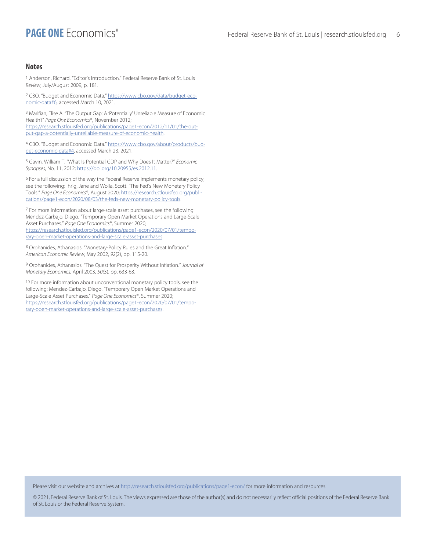#### **Notes**

1 Anderson, Richard. "Editor's Introduction." Federal Reserve Bank of St. Louis *Review*, July/August 2009, p. 181.

2 CBO. "Budget and Economic Data." [https://www.cbo.gov/data/budget-eco](https://www.cbo.gov/data/budget-economic-data#6)[nomic-data#6](https://www.cbo.gov/data/budget-economic-data#6), accessed March 10, 2021.

3 Marifian, Elise A. "The Output Gap: A 'Potentially' Unreliable Measure of Economic Health?" *Page One Economics*®, November 2012; [https://research.stlouisfed.org/publications/page1-econ/2012/11/01/the-out](https://research.stlouisfed.org/publications/page1-econ/2012/11/01/the-output-gap-a-potentially-unreliable-measure-of-economic-health)[put-gap-a-potentially-unreliable-measure-of-economic-health](https://research.stlouisfed.org/publications/page1-econ/2012/11/01/the-output-gap-a-potentially-unreliable-measure-of-economic-health).

4 CBO. "Budget and Economic Data." [https://www.cbo.gov/about/products/bud](https://www.cbo.gov/about/products/budget-economic-data#4)[get-economic-data#4](https://www.cbo.gov/about/products/budget-economic-data#4), accessed March 23, 2021.

5 Gavin, William T. "What Is Potential GDP and Why Does It Matter?" *Economic Synopses*, No. 11, 2012; [https://doi.org/10.20955/es.2012.11.](https://doi.org/10.20955/es.2012.11)

6 For a full discussion of the way the Federal Reserve implements monetary policy, see the following: Ihrig, Jane and Wolla, Scott. "The Fed's New Monetary Policy Tools." *Page One Economics*®, August 2020; [https://research.stlouisfed.org/publi](https://research.stlouisfed.org/publications/page1-econ/2020/08/03/the-feds-new-monetary-policy-tools)[cations/page1-econ/2020/08/03/the-feds-new-monetary-policy-tools](https://research.stlouisfed.org/publications/page1-econ/2020/08/03/the-feds-new-monetary-policy-tools).

7 For more information about large-scale asset purchases, see the following: Mendez-Carbajo, Diego. "Temporary Open Market Operations and Large-Scale Asset Purchases." *Page One Economics*®, Summer 2020; [https://research.stlouisfed.org/publications/page1-econ/2020/07/01/tempo](https://research.stlouisfed.org/publications/page1-econ/2020/07/01/temporary-open-market-operations-and-large-scale-asset-purchases)[rary-open-market-operations-and-large-scale-asset-purchases.](https://research.stlouisfed.org/publications/page1-econ/2020/07/01/temporary-open-market-operations-and-large-scale-asset-purchases)

8 Orphanides, Athanasios. "Monetary-Policy Rules and the Great Inflation." *American Economic Review*, May 2002, *92*(2), pp. 115-20.

9 Orphanides, Athanasios. "The Quest for Prosperity Without Inflation." *Journal of Monetary Economics*, April 2003, *50(*3), pp. 633-63.

10 For more information about unconventional monetary policy tools, see the following: Mendez-Carbajo, Diego. "Temporary Open Market Operations and Large-Scale Asset Purchases." *Page One Economics*®, Summer 2020; [https://research.stlouisfed.org/publications/page1-econ/2020/07/01/tempo](https://research.stlouisfed.org/publications/page1-econ/2020/07/01/temporary-open-market-operations-and-large-scale-asset-purchases)[rary-open-market-operations-and-large-scale-asset-purchases.](https://research.stlouisfed.org/publications/page1-econ/2020/07/01/temporary-open-market-operations-and-large-scale-asset-purchases)

Please visit our website and archives at <http://research.stlouisfed.org/publications/page1-econ/> for more information and resources.

© 2021, Federal Reserve Bank of St. Louis. The views expressed are those of the author(s) and do not necessarily reflect official positions of the Federal Reserve Bank of St. Louis or the Federal Reserve System.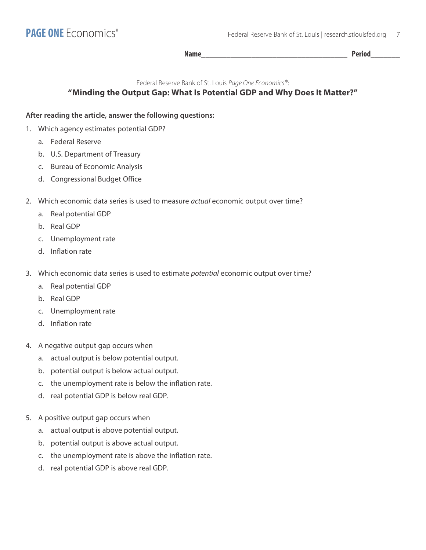**Name\_\_\_\_\_\_\_\_\_\_\_\_\_\_\_\_\_\_\_\_\_\_\_\_\_\_\_\_\_\_\_\_\_\_\_ Period\_\_\_\_\_\_\_**

Federal Reserve Bank of St. Louis *Page One Economics*®:

## **"Minding the Output Gap: What Is Potential GDP and Why Does It Matter?"**

## **After reading the article, answer the following questions:**

- 1. Which agency estimates potential GDP?
	- a. Federal Reserve
	- b. U.S. Department of Treasury
	- c. Bureau of Economic Analysis
	- d. Congressional Budget Office
- 2. Which economic data series is used to measure *actual* economic output over time?
	- a. Real potential GDP
	- b. Real GDP
	- c. Unemployment rate
	- d. Inflation rate
- 3. Which economic data series is used to estimate *potential* economic output over time?
	- a. Real potential GDP
	- b. Real GDP
	- c. Unemployment rate
	- d. Inflation rate
- 4. A negative output gap occurs when
	- a. actual output is below potential output.
	- b. potential output is below actual output.
	- c. the unemployment rate is below the inflation rate.
	- d. real potential GDP is below real GDP.
- 5. A positive output gap occurs when
	- a. actual output is above potential output.
	- b. potential output is above actual output.
	- c. the unemployment rate is above the inflation rate.
	- d. real potential GDP is above real GDP.